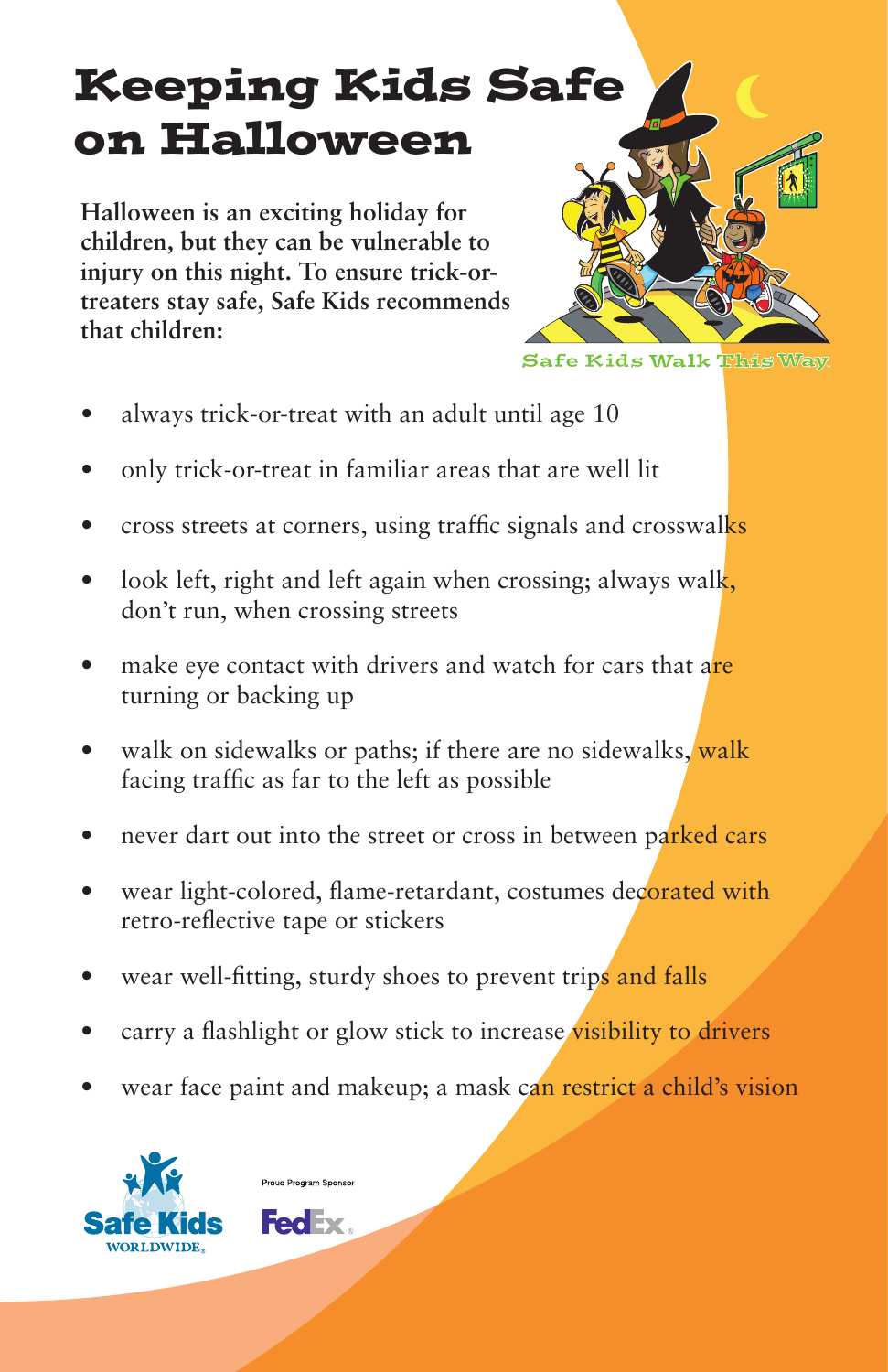## Keeping Kids Safe on Halloween

**Halloween is an exciting holiday for children, but they can be vulnerable to injury on this night. To ensure trick-ortreaters stay safe, Safe Kids recommends that children:**



- always trick-or-treat with an adult until age 10 •
- only trick-or-treat in familiar areas that are well lit •
- cross streets at corners, using traffic signals and crosswalks •
- look left, right and left again when crossing; always walk, don't run, when crossing streets •
- make eye contact with drivers and watch for cars that are turning or backing up •
- walk on sidewalks or paths; if there are no sidewalks, walk facing traffic as far to the left as possible •
- never dart out into the street or cross in between parked cars •
- wear light-colored, flame-retardant, costumes decorated with retro-reflective tape or stickers •
- wear well-fitting, sturdy shoes to prevent trips and falls •
- carry a flashlight or glow stick to increase visibility to drivers •
- wear face paint and makeup; a mask can restrict a child's vision •